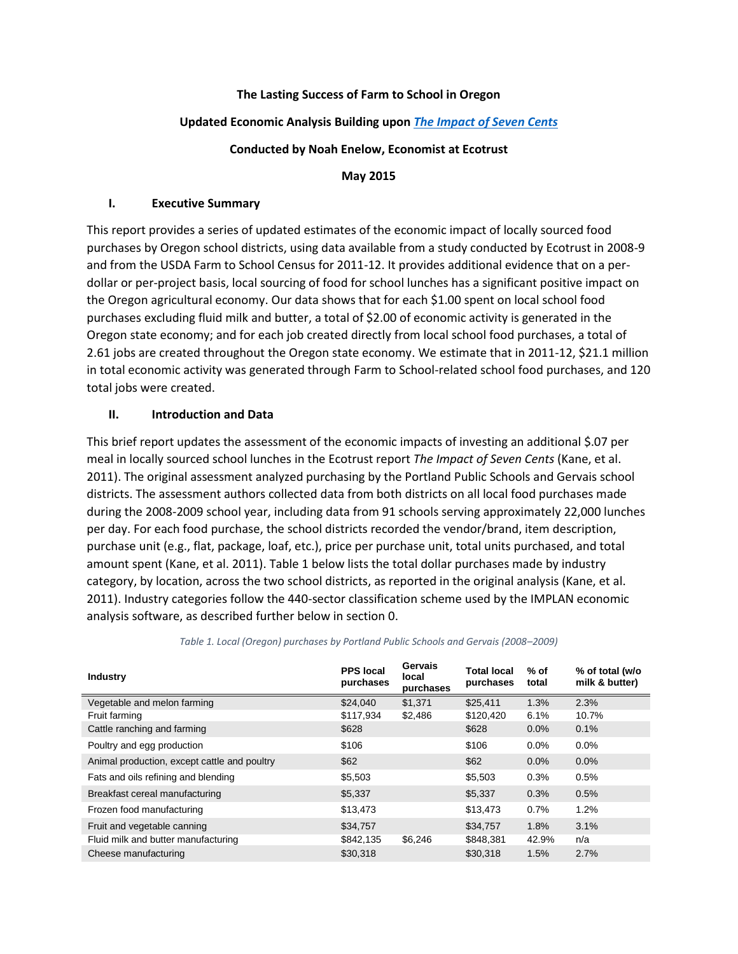### **The Lasting Success of Farm to School in Oregon**

#### **Updated Economic Analysis Building upon** *[The Impact of Seven Cents](http://www.ecotrust.org/media/7-Cents-Report_FINAL_110630.pdf)*

#### **Conducted by Noah Enelow, Economist at Ecotrust**

#### **May 2015**

#### **I. Executive Summary**

This report provides a series of updated estimates of the economic impact of locally sourced food purchases by Oregon school districts, using data available from a study conducted by Ecotrust in 2008-9 and from the USDA Farm to School Census for 2011-12. It provides additional evidence that on a perdollar or per-project basis, local sourcing of food for school lunches has a significant positive impact on the Oregon agricultural economy. Our data shows that for each \$1.00 spent on local school food purchases excluding fluid milk and butter, a total of \$2.00 of economic activity is generated in the Oregon state economy; and for each job created directly from local school food purchases, a total of 2.61 jobs are created throughout the Oregon state economy. We estimate that in 2011-12, \$21.1 million in total economic activity was generated through Farm to School-related school food purchases, and 120 total jobs were created.

### **II. Introduction and Data**

This brief report updates the assessment of the economic impacts of investing an additional \$.07 per meal in locally sourced school lunches in the Ecotrust report *The Impact of Seven Cents* (Kane, et al. 2011). The original assessment analyzed purchasing by the Portland Public Schools and Gervais school districts. The assessment authors collected data from both districts on all local food purchases made during the 2008-2009 school year, including data from 91 schools serving approximately 22,000 lunches per day. For each food purchase, the school districts recorded the vendor/brand, item description, purchase unit (e.g., flat, package, loaf, etc.), price per purchase unit, total units purchased, and total amount spent (Kane, et al. 2011)[. Table 1](#page-0-0) below lists the total dollar purchases made by industry category, by location, across the two school districts, as reported in the original analysis (Kane, et al. 2011). Industry categories follow the 440-sector classification scheme used by the IMPLAN economic analysis software, as described further below in section [0.](#page-4-0)

<span id="page-0-0"></span>

| <b>Industry</b>                              | <b>PPS local</b><br>purchases | Gervais<br>local<br>purchases | <b>Total local</b><br>purchases | $%$ of<br>total | % of total (w/o<br>milk & butter) |
|----------------------------------------------|-------------------------------|-------------------------------|---------------------------------|-----------------|-----------------------------------|
| Vegetable and melon farming                  | \$24,040                      | \$1,371                       | \$25,411                        | 1.3%            | 2.3%                              |
| Fruit farming                                | \$117,934                     | \$2,486                       | \$120,420                       | 6.1%            | 10.7%                             |
| Cattle ranching and farming                  | \$628                         |                               | \$628                           | 0.0%            | 0.1%                              |
| Poultry and egg production                   | \$106                         |                               | \$106                           | 0.0%            | $0.0\%$                           |
| Animal production, except cattle and poultry | \$62                          |                               | \$62                            | $0.0\%$         | 0.0%                              |
| Fats and oils refining and blending          | \$5,503                       |                               | \$5,503                         | 0.3%            | 0.5%                              |
| Breakfast cereal manufacturing               | \$5,337                       |                               | \$5,337                         | 0.3%            | 0.5%                              |
| Frozen food manufacturing                    | \$13,473                      |                               | \$13,473                        | 0.7%            | 1.2%                              |
| Fruit and vegetable canning                  | \$34,757                      |                               | \$34,757                        | 1.8%            | 3.1%                              |
| Fluid milk and butter manufacturing          | \$842,135                     | \$6,246                       | \$848,381                       | 42.9%           | n/a                               |
| Cheese manufacturing                         | \$30.318                      |                               | \$30,318                        | 1.5%            | 2.7%                              |

#### *Table 1. Local (Oregon) purchases by Portland Public Schools and Gervais (2008–2009)*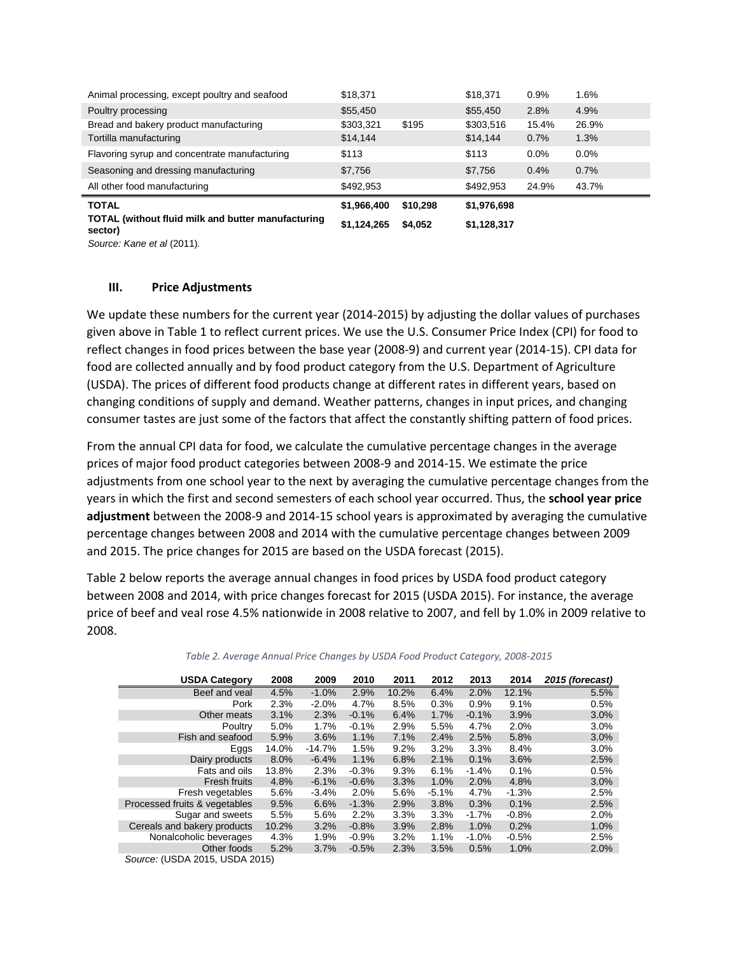| <b>TOTAL (without fluid milk and butter manufacturing)</b><br>sector) | \$1,124,265 | \$4,052  | \$1,128,317 |         |         |
|-----------------------------------------------------------------------|-------------|----------|-------------|---------|---------|
| <b>TOTAL</b>                                                          | \$1,966,400 | \$10,298 | \$1,976,698 |         |         |
| All other food manufacturing                                          | \$492,953   |          | \$492,953   | 24.9%   | 43.7%   |
| Seasoning and dressing manufacturing                                  | \$7,756     |          | \$7,756     | 0.4%    | 0.7%    |
| Flavoring syrup and concentrate manufacturing                         | \$113       |          | \$113       | $0.0\%$ | $0.0\%$ |
| Tortilla manufacturing                                                | \$14,144    |          | \$14,144    | 0.7%    | 1.3%    |
| Bread and bakery product manufacturing                                | \$303,321   | \$195    | \$303,516   | 15.4%   | 26.9%   |
| Poultry processing                                                    | \$55,450    |          | \$55,450    | 2.8%    | 4.9%    |
| Animal processing, except poultry and seafood                         | \$18,371    |          | \$18,371    | 0.9%    | 1.6%    |

*Source: Kane et al* (2011)*.*

#### <span id="page-1-1"></span>**III. Price Adjustments**

We update these numbers for the current year (2014-2015) by adjusting the dollar values of purchases given above in [Table 1](#page-0-0) to reflect current prices. We use the U.S. Consumer Price Index (CPI) for food to reflect changes in food prices between the base year (2008-9) and current year (2014-15). CPI data for food are collected annually and by food product category from the U.S. Department of Agriculture (USDA). The prices of different food products change at different rates in different years, based on changing conditions of supply and demand. Weather patterns, changes in input prices, and changing consumer tastes are just some of the factors that affect the constantly shifting pattern of food prices.

From the annual CPI data for food, we calculate the cumulative percentage changes in the average prices of major food product categories between 2008-9 and 2014-15. We estimate the price adjustments from one school year to the next by averaging the cumulative percentage changes from the years in which the first and second semesters of each school year occurred. Thus, the **school year price adjustment** between the 2008-9 and 2014-15 school years is approximated by averaging the cumulative percentage changes between 2008 and 2014 with the cumulative percentage changes between 2009 and 2015. The price changes for 2015 are based on the USDA forecast (2015).

[Table 2](#page-1-0) below reports the average annual changes in food prices by USDA food product category between 2008 and 2014, with price changes forecast for 2015 (USDA 2015). For instance, the average price of beef and veal rose 4.5% nationwide in 2008 relative to 2007, and fell by 1.0% in 2009 relative to 2008.

<span id="page-1-0"></span>

| <b>USDA Category</b>                   | 2008  | 2009     | 2010    | 2011  | 2012    | 2013     | 2014    | 2015 (forecast) |
|----------------------------------------|-------|----------|---------|-------|---------|----------|---------|-----------------|
| Beef and yeal                          | 4.5%  | $-1.0%$  | 2.9%    | 10.2% | 6.4%    | 2.0%     | 12.1%   | 5.5%            |
| Pork                                   | 2.3%  | $-2.0%$  | 4.7%    | 8.5%  | 0.3%    | 0.9%     | 9.1%    | 0.5%            |
| Other meats                            | 3.1%  | 2.3%     | $-0.1%$ | 6.4%  | 1.7%    | $-0.1%$  | 3.9%    | 3.0%            |
| Poultry                                | 5.0%  | 1.7%     | $-0.1%$ | 2.9%  | 5.5%    | 4.7%     | 2.0%    | 3.0%            |
| Fish and seafood                       | 5.9%  | 3.6%     | 1.1%    | 7.1%  | 2.4%    | 2.5%     | 5.8%    | 3.0%            |
| Eggs                                   | 14.0% | $-14.7%$ | 1.5%    | 9.2%  | 3.2%    | 3.3%     | 8.4%    | 3.0%            |
| Dairy products                         | 8.0%  | $-6.4%$  | 1.1%    | 6.8%  | 2.1%    | 0.1%     | 3.6%    | 2.5%            |
| Fats and oils                          | 13.8% | 2.3%     | $-0.3%$ | 9.3%  | 6.1%    | $-1.4%$  | 0.1%    | 0.5%            |
| <b>Fresh fruits</b>                    | 4.8%  | $-6.1%$  | $-0.6%$ | 3.3%  | 1.0%    | 2.0%     | 4.8%    | 3.0%            |
| Fresh vegetables                       | 5.6%  | $-3.4%$  | 2.0%    | 5.6%  | $-5.1%$ | 4.7%     | $-1.3%$ | 2.5%            |
| Processed fruits & vegetables          | 9.5%  | 6.6%     | $-1.3%$ | 2.9%  | 3.8%    | 0.3%     | 0.1%    | 2.5%            |
| Sugar and sweets                       | 5.5%  | 5.6%     | 2.2%    | 3.3%  | 3.3%    | $-1.7\%$ | $-0.8%$ | 2.0%            |
| Cereals and bakery products            | 10.2% | 3.2%     | $-0.8%$ | 3.9%  | 2.8%    | 1.0%     | 0.2%    | 1.0%            |
| Nonalcoholic beverages                 | 4.3%  | 1.9%     | $-0.9%$ | 3.2%  | 1.1%    | $-1.0\%$ | $-0.5%$ | 2.5%            |
| Other foods                            | 5.2%  | 3.7%     | $-0.5%$ | 2.3%  | 3.5%    | 0.5%     | 1.0%    | 2.0%            |
| $C_{\text{out}}$ (HCDA 2015 HCDA 2015) |       |          |         |       |         |          |         |                 |

*Table 2. Average Annual Price Changes by USDA Food Product Category, 2008-2015*

*Source:* (USDA 2015, USDA 2015)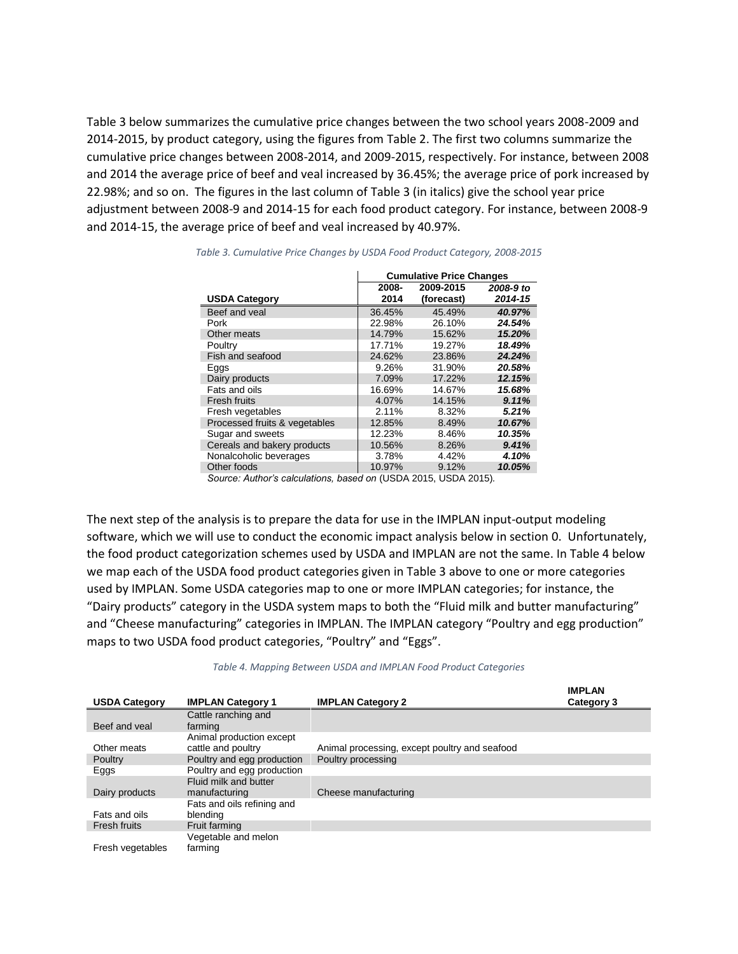[Table 3](#page-2-0) below summarizes the cumulative price changes between the two school years 2008-2009 and 2014-2015, by product category, using the figures from [Table 2.](#page-1-0) The first two columns summarize the cumulative price changes between 2008-2014, and 2009-2015, respectively. For instance, between 2008 and 2014 the average price of beef and veal increased by 36.45%; the average price of pork increased by 22.98%; and so on. The figures in the last column o[f Table 3](#page-2-0) (in italics) give the school year price adjustment between 2008-9 and 2014-15 for each food product category. For instance, between 2008-9 and 2014-15, the average price of beef and veal increased by 40.97%.

|                               | <b>Cumulative Price Changes</b> |                                                                                                         |           |  |  |
|-------------------------------|---------------------------------|---------------------------------------------------------------------------------------------------------|-----------|--|--|
|                               | 2008-                           | 2009-2015                                                                                               | 2008-9 to |  |  |
| <b>USDA Category</b>          | 2014                            | (forecast)                                                                                              | 2014-15   |  |  |
| Beef and yeal                 | 36.45%                          | 45.49%                                                                                                  | 40.97%    |  |  |
| Pork                          | 22.98%                          | 26.10%                                                                                                  | 24.54%    |  |  |
| Other meats                   | 14.79%                          | 15.62%                                                                                                  | 15.20%    |  |  |
| Poultry                       | 17.71%                          | 19.27%                                                                                                  | 18.49%    |  |  |
| Fish and seafood              | 24.62%                          | 23.86%                                                                                                  | 24.24%    |  |  |
| Eggs                          | 9.26%                           | 31.90%                                                                                                  | 20.58%    |  |  |
| Dairy products                | 7.09%                           | 17.22%                                                                                                  | 12.15%    |  |  |
| Fats and oils                 | 16.69%                          | 14.67%                                                                                                  | 15.68%    |  |  |
| <b>Fresh fruits</b>           | 4.07%                           | 14.15%                                                                                                  | 9.11%     |  |  |
| Fresh vegetables              | 2.11%                           | 8.32%                                                                                                   | 5.21%     |  |  |
| Processed fruits & vegetables | 12.85%                          | 8.49%                                                                                                   | 10.67%    |  |  |
| Sugar and sweets              | 12.23%                          | 8.46%                                                                                                   | 10.35%    |  |  |
| Cereals and bakery products   | 10.56%                          | 8.26%                                                                                                   | 9.41%     |  |  |
| Nonalcoholic beverages        | 3.78%                           | 4.42%                                                                                                   | 4.10%     |  |  |
| Other foods                   | 10.97%                          | 9.12%                                                                                                   | 10.05%    |  |  |
|                               | 11001000000                     | $\mathsf{I}$ $\mathsf{I}$ $\mathsf{I}$ $\mathsf{I}$ $\mathsf{I}$ $\mathsf{I}$ $\mathsf{I}$ $\mathsf{I}$ |           |  |  |

<span id="page-2-0"></span>*Table 3. Cumulative Price Changes by USDA Food Product Category, 2008-2015*

*Source: Author's calculations, based on* (USDA 2015, USDA 2015)*.*

The next step of the analysis is to prepare the data for use in the IMPLAN input-output modeling software, which we will use to conduct the economic impact analysis below in sectio[n 0.](#page-4-0) Unfortunately, the food product categorization schemes used by USDA and IMPLAN are not the same. In [Table 4](#page-2-1) below we map each of the USDA food product categories given i[n Table 3](#page-2-0) above to one or more categories used by IMPLAN. Some USDA categories map to one or more IMPLAN categories; for instance, the "Dairy products" category in the USDA system maps to both the "Fluid milk and butter manufacturing" and "Cheese manufacturing" categories in IMPLAN. The IMPLAN category "Poultry and egg production" maps to two USDA food product categories, "Poultry" and "Eggs".

<span id="page-2-1"></span>

| <b>USDA Category</b> | <b>IMPLAN Category 1</b>   | <b>IMPLAN Category 2</b>                      | <b>IMPLAN</b><br>Category 3 |
|----------------------|----------------------------|-----------------------------------------------|-----------------------------|
|                      | Cattle ranching and        |                                               |                             |
| Beef and yeal        | farming                    |                                               |                             |
|                      | Animal production except   |                                               |                             |
| Other meats          | cattle and poultry         | Animal processing, except poultry and seafood |                             |
| Poultry              | Poultry and egg production | Poultry processing                            |                             |
| Eggs                 | Poultry and egg production |                                               |                             |
|                      | Fluid milk and butter      |                                               |                             |
| Dairy products       | manufacturing              | Cheese manufacturing                          |                             |
|                      | Fats and oils refining and |                                               |                             |
| Fats and oils        | blending                   |                                               |                             |
| Fresh fruits         | Fruit farming              |                                               |                             |
|                      | Vegetable and melon        |                                               |                             |
| Fresh vegetables     | farming                    |                                               |                             |

#### *Table 4. Mapping Between USDA and IMPLAN Food Product Categories*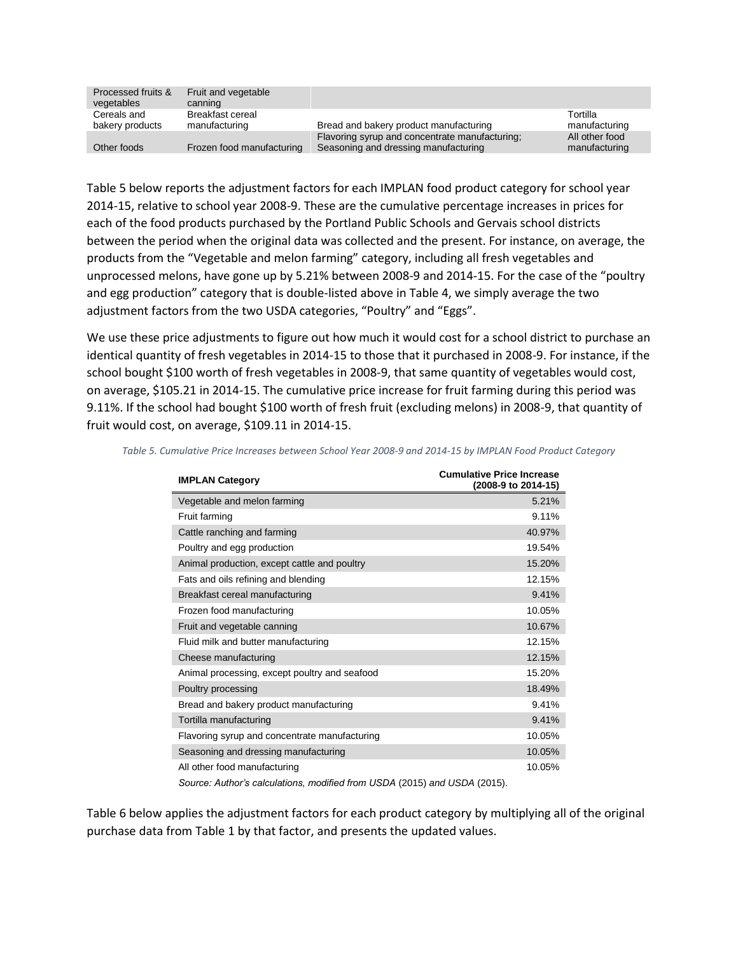| Processed fruits &<br>vegetables | Fruit and vegetable<br>canning    |                                                                                        |                                 |
|----------------------------------|-----------------------------------|----------------------------------------------------------------------------------------|---------------------------------|
| Cereals and<br>bakery products   | Breakfast cereal<br>manufacturing | Bread and bakery product manufacturing                                                 | Tortilla<br>manufacturing       |
| Other foods                      | Frozen food manufacturing         | Flavoring syrup and concentrate manufacturing;<br>Seasoning and dressing manufacturing | All other food<br>manufacturing |

[Table 5](#page-3-0) below reports the adjustment factors for each IMPLAN food product category for school year 2014-15, relative to school year 2008-9. These are the cumulative percentage increases in prices for each of the food products purchased by the Portland Public Schools and Gervais school districts between the period when the original data was collected and the present. For instance, on average, the products from the "Vegetable and melon farming" category, including all fresh vegetables and unprocessed melons, have gone up by 5.21% between 2008-9 and 2014-15. For the case of the "poultry and egg production" category that is double-listed above i[n Table 4,](#page-2-1) we simply average the two adjustment factors from the two USDA categories, "Poultry" and "Eggs".

We use these price adjustments to figure out how much it would cost for a school district to purchase an identical quantity of fresh vegetables in 2014-15 to those that it purchased in 2008-9. For instance, if the school bought \$100 worth of fresh vegetables in 2008-9, that same quantity of vegetables would cost, on average, \$105.21 in 2014-15. The cumulative price increase for fruit farming during this period was 9.11%. If the school had bought \$100 worth of fresh fruit (excluding melons) in 2008-9, that quantity of fruit would cost, on average, \$109.11 in 2014-15.

| <b>IMPLAN Category</b>                        | <b>Cumulative Price Increase</b><br>(2008-9 to 2014-15) |
|-----------------------------------------------|---------------------------------------------------------|
| Vegetable and melon farming                   | 5.21%                                                   |
| Fruit farming                                 | 9.11%                                                   |
| Cattle ranching and farming                   | 40.97%                                                  |
| Poultry and egg production                    | 19.54%                                                  |
| Animal production, except cattle and poultry  | 15.20%                                                  |
| Fats and oils refining and blending           | 12.15%                                                  |
| Breakfast cereal manufacturing                | 9.41%                                                   |
| Frozen food manufacturing                     | 10.05%                                                  |
| Fruit and vegetable canning                   | 10.67%                                                  |
| Fluid milk and butter manufacturing           | 12.15%                                                  |
| Cheese manufacturing                          | 12.15%                                                  |
| Animal processing, except poultry and seafood | 15.20%                                                  |
| Poultry processing                            | 18.49%                                                  |
| Bread and bakery product manufacturing        | 9.41%                                                   |
| Tortilla manufacturing                        | 9.41%                                                   |
| Flavoring syrup and concentrate manufacturing | 10.05%                                                  |
| Seasoning and dressing manufacturing          | 10.05%                                                  |
| All other food manufacturing                  | 10.05%                                                  |

<span id="page-3-0"></span>*Table 5. Cumulative Price Increases between School Year 2008-9 and 2014-15 by IMPLAN Food Product Category*

*Source: Author's calculations, modified from USDA* (2015) *and USDA* (2015).

[Table 6](#page-4-1) below applies the adjustment factors for each product category by multiplying all of the original purchase data from [Table 1](#page-0-0) by that factor, and presents the updated values.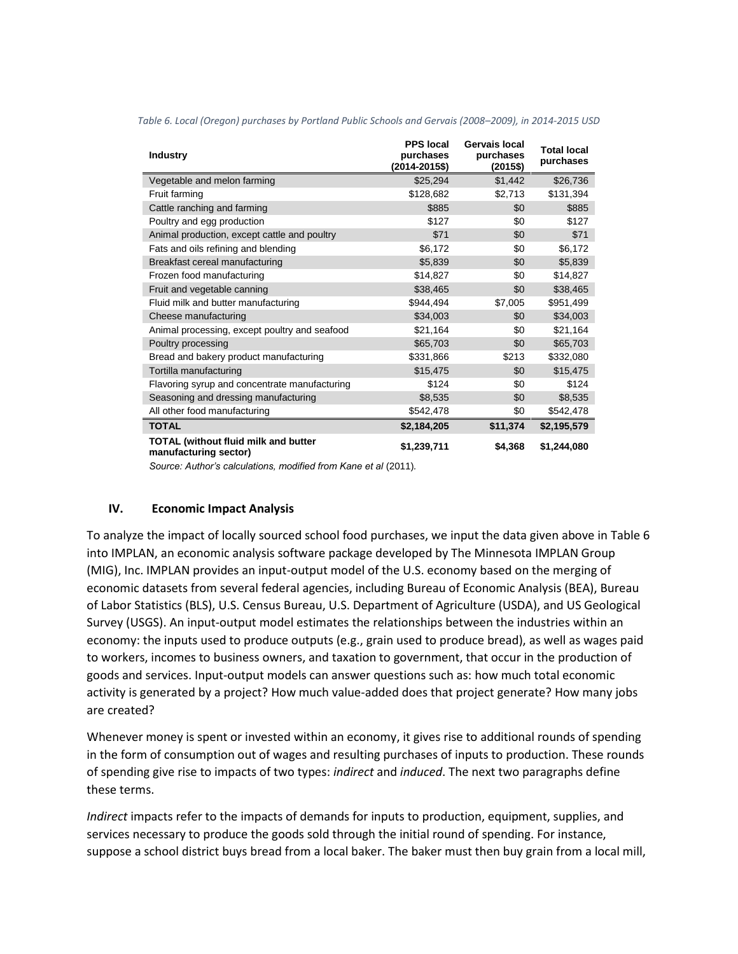| <b>Industry</b>                                                      | <b>PPS</b> local<br>purchases<br>$(2014 - 2015$ \$) | Gervais local<br>purchases<br>(2015\$) | <b>Total local</b><br>purchases |
|----------------------------------------------------------------------|-----------------------------------------------------|----------------------------------------|---------------------------------|
| Vegetable and melon farming                                          | \$25,294                                            | \$1,442                                | \$26,736                        |
| Fruit farming                                                        | \$128,682                                           | \$2,713                                | \$131,394                       |
| Cattle ranching and farming                                          | \$885                                               | \$0                                    | \$885                           |
| Poultry and egg production                                           | \$127                                               | \$0                                    | \$127                           |
| Animal production, except cattle and poultry                         | \$71                                                | \$0                                    | \$71                            |
| Fats and oils refining and blending                                  | \$6,172                                             | \$0                                    | \$6,172                         |
| Breakfast cereal manufacturing                                       | \$5,839                                             | \$0                                    | \$5,839                         |
| Frozen food manufacturing                                            | \$14,827                                            | \$0                                    | \$14,827                        |
| Fruit and vegetable canning                                          | \$38,465                                            | \$0                                    | \$38,465                        |
| Fluid milk and butter manufacturing                                  | \$944,494                                           | \$7,005                                | \$951,499                       |
| Cheese manufacturing                                                 | \$34,003                                            | \$0                                    | \$34,003                        |
| Animal processing, except poultry and seafood                        | \$21,164                                            | \$0                                    | \$21,164                        |
| Poultry processing                                                   | \$65,703                                            | \$0                                    | \$65,703                        |
| Bread and bakery product manufacturing                               | \$331,866                                           | \$213                                  | \$332,080                       |
| Tortilla manufacturing                                               | \$15,475                                            | \$0                                    | \$15,475                        |
| Flavoring syrup and concentrate manufacturing                        | \$124                                               | \$0                                    | \$124                           |
| Seasoning and dressing manufacturing                                 | \$8,535                                             | \$0                                    | \$8,535                         |
| All other food manufacturing                                         | \$542,478                                           | \$0                                    | \$542,478                       |
| <b>TOTAL</b>                                                         | \$2,184,205                                         | \$11,374                               | \$2,195,579                     |
| <b>TOTAL (without fluid milk and butter</b><br>manufacturing sector) | \$1,239,711                                         | \$4,368                                | \$1,244,080                     |

<span id="page-4-1"></span>*Table 6. Local (Oregon) purchases by Portland Public Schools and Gervais (2008–2009), in 2014-2015 USD*

Source: Author's calculations, modified from Kane et al (2011).

#### <span id="page-4-0"></span>**IV. Economic Impact Analysis**

To analyze the impact of locally sourced school food purchases, we input the data given above i[n Table 6](#page-4-1) into IMPLAN, an economic analysis software package developed by The Minnesota IMPLAN Group (MIG), Inc. IMPLAN provides an input-output model of the U.S. economy based on the merging of economic datasets from several federal agencies, including Bureau of Economic Analysis (BEA), Bureau of Labor Statistics (BLS), U.S. Census Bureau, U.S. Department of Agriculture (USDA), and US Geological Survey (USGS). An input-output model estimates the relationships between the industries within an economy: the inputs used to produce outputs (e.g., grain used to produce bread), as well as wages paid to workers, incomes to business owners, and taxation to government, that occur in the production of goods and services. Input-output models can answer questions such as: how much total economic activity is generated by a project? How much value-added does that project generate? How many jobs are created?

Whenever money is spent or invested within an economy, it gives rise to additional rounds of spending in the form of consumption out of wages and resulting purchases of inputs to production. These rounds of spending give rise to impacts of two types: *indirect* and *induced*. The next two paragraphs define these terms.

*Indirect* impacts refer to the impacts of demands for inputs to production, equipment, supplies, and services necessary to produce the goods sold through the initial round of spending. For instance, suppose a school district buys bread from a local baker. The baker must then buy grain from a local mill,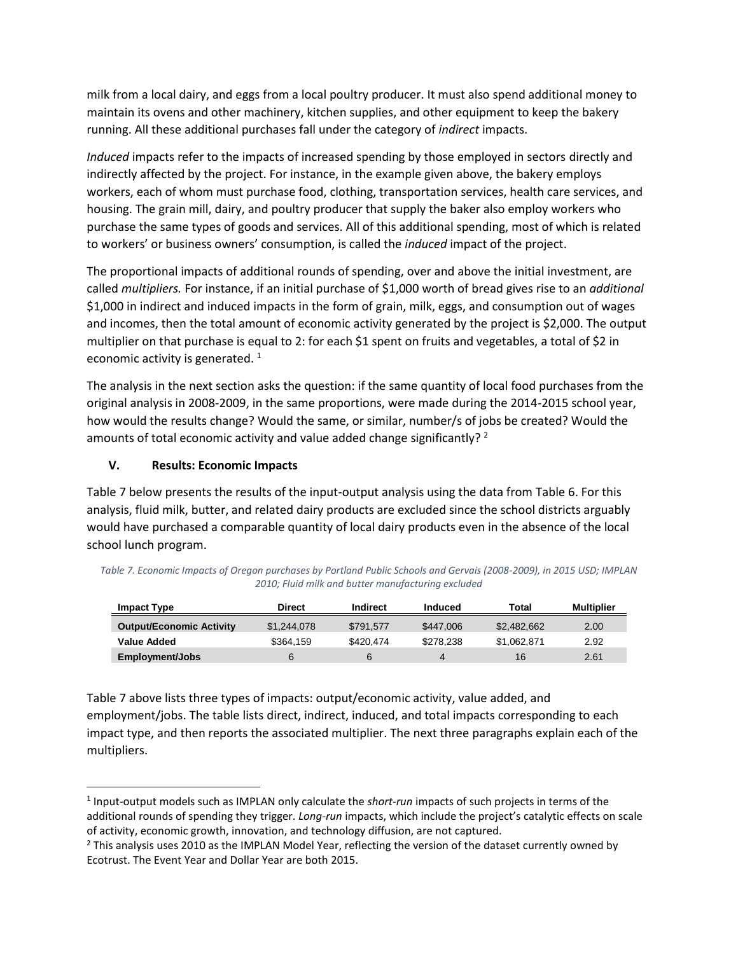milk from a local dairy, and eggs from a local poultry producer. It must also spend additional money to maintain its ovens and other machinery, kitchen supplies, and other equipment to keep the bakery running. All these additional purchases fall under the category of *indirect* impacts.

*Induced* impacts refer to the impacts of increased spending by those employed in sectors directly and indirectly affected by the project. For instance, in the example given above, the bakery employs workers, each of whom must purchase food, clothing, transportation services, health care services, and housing. The grain mill, dairy, and poultry producer that supply the baker also employ workers who purchase the same types of goods and services. All of this additional spending, most of which is related to workers' or business owners' consumption, is called the *induced* impact of the project.

The proportional impacts of additional rounds of spending, over and above the initial investment, are called *multipliers.* For instance, if an initial purchase of \$1,000 worth of bread gives rise to an *additional* \$1,000 in indirect and induced impacts in the form of grain, milk, eggs, and consumption out of wages and incomes, then the total amount of economic activity generated by the project is \$2,000. The output multiplier on that purchase is equal to 2: for each \$1 spent on fruits and vegetables, a total of \$2 in economic activity is generated.  $1$ 

The analysis in the next section asks the question: if the same quantity of local food purchases from the original analysis in 2008-2009, in the same proportions, were made during the 2014-2015 school year, how would the results change? Would the same, or similar, number/s of jobs be created? Would the amounts of total economic activity and value added change significantly?<sup>2</sup>

## <span id="page-5-1"></span>**V. Results: Economic Impacts**

l

[Table 7](#page-5-0) below presents the results of the input-output analysis using the data fro[m Table 6.](#page-4-1) For this analysis, fluid milk, butter, and related dairy products are excluded since the school districts arguably would have purchased a comparable quantity of local dairy products even in the absence of the local school lunch program.

| <b>Impact Type</b>              | Direct      | Indirect  | Induced   | Total       | <b>Multiplier</b> |
|---------------------------------|-------------|-----------|-----------|-------------|-------------------|
| <b>Output/Economic Activity</b> | \$1,244,078 | \$791.577 | \$447,006 | \$2,482,662 | 2.00              |
| Value Added                     | \$364.159   | \$420.474 | \$278.238 | \$1.062.871 | 2.92              |
| <b>Employment/Jobs</b>          | 6           |           | 4         | 16          | 2.61              |

<span id="page-5-0"></span>*Table 7. Economic Impacts of Oregon purchases by Portland Public Schools and Gervais (2008-2009), in 2015 USD; IMPLAN 2010; Fluid milk and butter manufacturing excluded*

[Table 7](#page-5-0) above lists three types of impacts: output/economic activity, value added, and employment/jobs. The table lists direct, indirect, induced, and total impacts corresponding to each impact type, and then reports the associated multiplier. The next three paragraphs explain each of the multipliers.

<sup>1</sup> Input-output models such as IMPLAN only calculate the *short-run* impacts of such projects in terms of the additional rounds of spending they trigger. *Long-run* impacts, which include the project's catalytic effects on scale of activity, economic growth, innovation, and technology diffusion, are not captured.

<sup>&</sup>lt;sup>2</sup> This analysis uses 2010 as the IMPLAN Model Year, reflecting the version of the dataset currently owned by Ecotrust. The Event Year and Dollar Year are both 2015.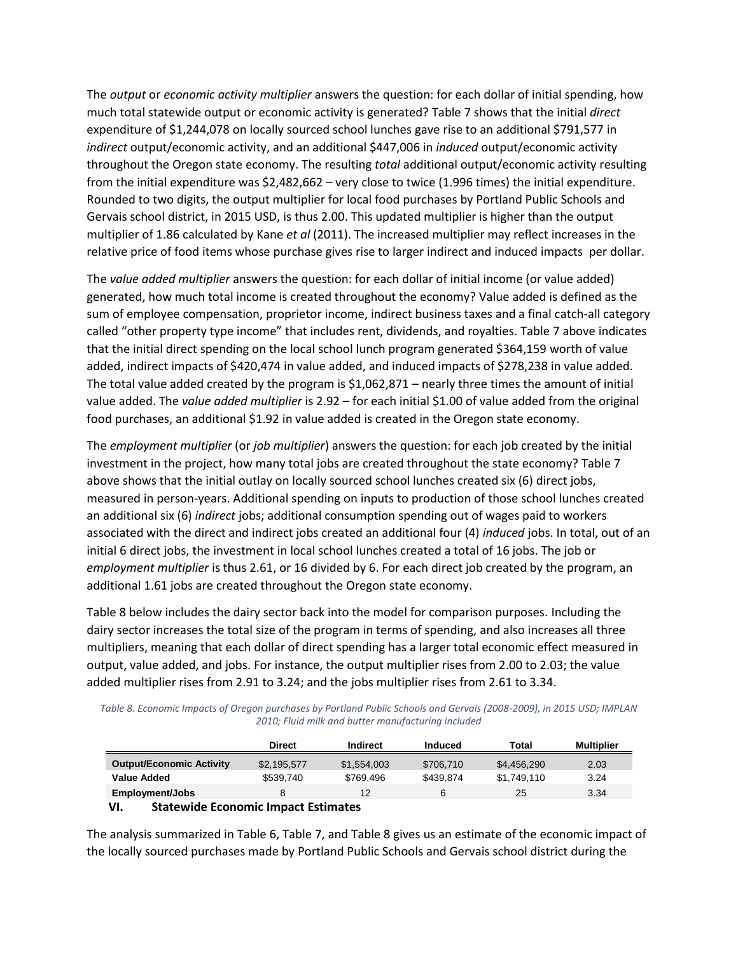The *output* or *economic activity multiplier* answers the question: for each dollar of initial spending, how much total statewide output or economic activity is generated? Table 7 shows that the initial *direct*  expenditure of \$1,244,078 on locally sourced school lunches gave rise to an additional \$791,577 in *indirect* output/economic activity, and an additional \$447,006 in *induced* output/economic activity throughout the Oregon state economy. The resulting *total* additional output/economic activity resulting from the initial expenditure was \$2,482,662 – very close to twice (1.996 times) the initial expenditure. Rounded to two digits, the output multiplier for local food purchases by Portland Public Schools and Gervais school district, in 2015 USD, is thus 2.00. This updated multiplier is higher than the output multiplier of 1.86 calculated by Kane *et al* (2011). The increased multiplier may reflect increases in the relative price of food items whose purchase gives rise to larger indirect and induced impacts per dollar.

The *value added multiplier* answers the question: for each dollar of initial income (or value added) generated, how much total income is created throughout the economy? Value added is defined as the sum of employee compensation, proprietor income, indirect business taxes and a final catch-all category called "other property type income" that includes rent, dividends, and royalties. [Table 7](#page-5-0) above indicates that the initial direct spending on the local school lunch program generated \$364,159 worth of value added, indirect impacts of \$420,474 in value added, and induced impacts of \$278,238 in value added. The total value added created by the program is \$1,062,871 – nearly three times the amount of initial value added. The *value added multiplier* is 2.92 – for each initial \$1.00 of value added from the original food purchases, an additional \$1.92 in value added is created in the Oregon state economy.

The *employment multiplier* (or *job multiplier*) answers the question: for each job created by the initial investment in the project, how many total jobs are created throughout the state economy[? Table 7](#page-5-0) above shows that the initial outlay on locally sourced school lunches created six (6) direct jobs, measured in person-years. Additional spending on inputs to production of those school lunches created an additional six (6) *indirect* jobs; additional consumption spending out of wages paid to workers associated with the direct and indirect jobs created an additional four (4) *induced* jobs. In total, out of an initial 6 direct jobs, the investment in local school lunches created a total of 16 jobs. The job or *employment multiplier* is thus 2.61, or 16 divided by 6. For each direct job created by the program, an additional 1.61 jobs are created throughout the Oregon state economy.

[Table 8](#page-6-0) below includes the dairy sector back into the model for comparison purposes. Including the dairy sector increases the total size of the program in terms of spending, and also increases all three multipliers, meaning that each dollar of direct spending has a larger total economic effect measured in output, value added, and jobs. For instance, the output multiplier rises from 2.00 to 2.03; the value added multiplier rises from 2.91 to 3.24; and the jobs multiplier rises from 2.61 to 3.34.

<span id="page-6-0"></span>*Table 8. Economic Impacts of Oregon purchases by Portland Public Schools and Gervais (2008-2009), in 2015 USD; IMPLAN 2010; Fluid milk and butter manufacturing included*

|                                                   | <b>Direct</b> | Indirect    | <b>Induced</b> | Total       | <b>Multiplier</b> |
|---------------------------------------------------|---------------|-------------|----------------|-------------|-------------------|
| <b>Output/Economic Activity</b>                   | \$2.195.577   | \$1,554,003 | \$706.710      | \$4.456.290 | 2.03              |
| <b>Value Added</b>                                | \$539.740     | \$769.496   | \$439.874      | \$1.749.110 | 3.24              |
| <b>Employment/Jobs</b>                            |               | 12          | 6              | 25          | 3.34              |
| <b>Statewide Economic Impact Estimates</b><br>VI. |               |             |                |             |                   |

<span id="page-6-1"></span>The analysis summarized i[n Table 6,](#page-4-1) [Table 7,](#page-5-0) an[d Table 8](#page-6-0) gives us an estimate of the economic impact of the locally sourced purchases made by Portland Public Schools and Gervais school district during the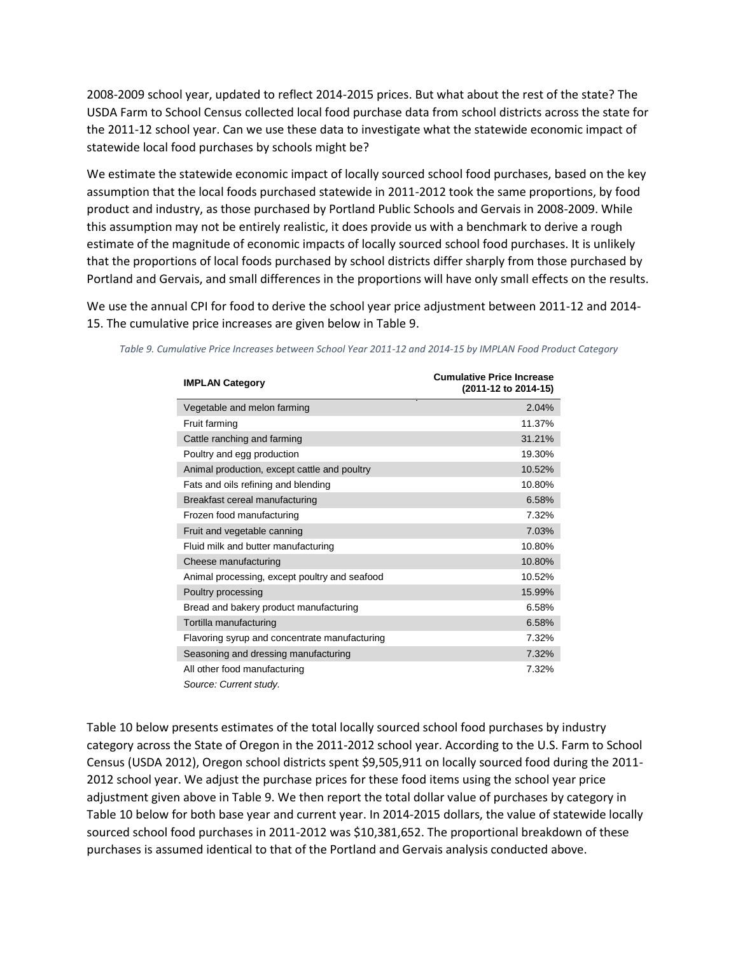2008-2009 school year, updated to reflect 2014-2015 prices. But what about the rest of the state? The USDA Farm to School Census collected local food purchase data from school districts across the state for the 2011-12 school year. Can we use these data to investigate what the statewide economic impact of statewide local food purchases by schools might be?

We estimate the statewide economic impact of locally sourced school food purchases, based on the key assumption that the local foods purchased statewide in 2011-2012 took the same proportions, by food product and industry, as those purchased by Portland Public Schools and Gervais in 2008-2009. While this assumption may not be entirely realistic, it does provide us with a benchmark to derive a rough estimate of the magnitude of economic impacts of locally sourced school food purchases. It is unlikely that the proportions of local foods purchased by school districts differ sharply from those purchased by Portland and Gervais, and small differences in the proportions will have only small effects on the results.

We use the annual CPI for food to derive the school year price adjustment between 2011-12 and 2014- 15. The cumulative price increases are given below i[n Table 9.](#page-7-0)

| <b>IMPLAN Category</b>                        | <b>Cumulative Price Increase</b><br>(2011-12 to 2014-15) |
|-----------------------------------------------|----------------------------------------------------------|
| Vegetable and melon farming                   | 2.04%                                                    |
| Fruit farming                                 | 11.37%                                                   |
| Cattle ranching and farming                   | 31.21%                                                   |
| Poultry and egg production                    | 19.30%                                                   |
| Animal production, except cattle and poultry  | 10.52%                                                   |
| Fats and oils refining and blending           | 10.80%                                                   |
| Breakfast cereal manufacturing                | 6.58%                                                    |
| Frozen food manufacturing                     | 7.32%                                                    |
| Fruit and vegetable canning                   | 7.03%                                                    |
| Fluid milk and butter manufacturing           | 10.80%                                                   |
| Cheese manufacturing                          | 10.80%                                                   |
| Animal processing, except poultry and seafood | 10.52%                                                   |
| Poultry processing                            | 15.99%                                                   |
| Bread and bakery product manufacturing        | 6.58%                                                    |
| Tortilla manufacturing                        | 6.58%                                                    |
| Flavoring syrup and concentrate manufacturing | 7.32%                                                    |
| Seasoning and dressing manufacturing          | 7.32%                                                    |
| All other food manufacturing                  | 7.32%                                                    |
| Source: Current study.                        |                                                          |

<span id="page-7-0"></span>*Table 9. Cumulative Price Increases between School Year 2011-12 and 2014-15 by IMPLAN Food Product Category*

[Table 10](#page-8-0) below presents estimates of the total locally sourced school food purchases by industry category across the State of Oregon in the 2011-2012 school year. According to the U.S. Farm to School Census (USDA 2012), Oregon school districts spent \$9,505,911 on locally sourced food during the 2011- 2012 school year. We adjust the purchase prices for these food items using the school year price adjustment given above i[n Table 9.](#page-7-0) We then report the total dollar value of purchases by category in [Table 10](#page-8-0) below for both base year and current year. In 2014-2015 dollars, the value of statewide locally sourced school food purchases in 2011-2012 was \$10,381,652. The proportional breakdown of these purchases is assumed identical to that of the Portland and Gervais analysis conducted above.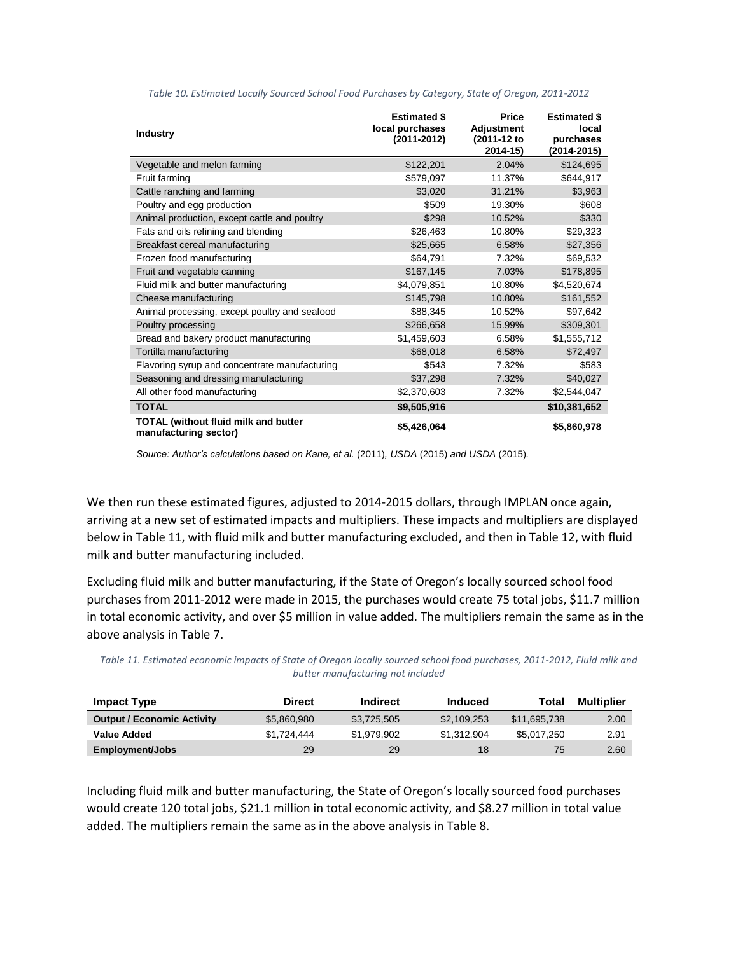<span id="page-8-0"></span>

| <b>Industry</b>                                               | <b>Estimated \$</b><br>local purchases<br>(2011-2012) | <b>Price</b><br><b>Adjustment</b><br>(2011-12 to<br>2014-15) | <b>Estimated \$</b><br>local<br>purchases<br>$(2014 - 2015)$ |
|---------------------------------------------------------------|-------------------------------------------------------|--------------------------------------------------------------|--------------------------------------------------------------|
| Vegetable and melon farming                                   | \$122,201                                             | 2.04%                                                        | \$124,695                                                    |
| Fruit farming                                                 | \$579,097                                             | 11.37%                                                       | \$644,917                                                    |
| Cattle ranching and farming                                   | \$3,020                                               | 31.21%                                                       | \$3,963                                                      |
| Poultry and egg production                                    | \$509                                                 | 19.30%                                                       | \$608                                                        |
| Animal production, except cattle and poultry                  | \$298                                                 | 10.52%                                                       | \$330                                                        |
| Fats and oils refining and blending                           | \$26,463                                              | 10.80%                                                       | \$29,323                                                     |
| Breakfast cereal manufacturing                                | \$25,665                                              | 6.58%                                                        | \$27,356                                                     |
| Frozen food manufacturing                                     | \$64,791                                              | 7.32%                                                        | \$69,532                                                     |
| Fruit and vegetable canning                                   | \$167,145                                             | 7.03%                                                        | \$178,895                                                    |
| Fluid milk and butter manufacturing                           | \$4,079,851                                           | 10.80%                                                       | \$4,520,674                                                  |
| Cheese manufacturing                                          | \$145,798                                             | 10.80%                                                       | \$161,552                                                    |
| Animal processing, except poultry and seafood                 | \$88,345                                              | 10.52%                                                       | \$97,642                                                     |
| Poultry processing                                            | \$266,658                                             | 15.99%                                                       | \$309,301                                                    |
| Bread and bakery product manufacturing                        | \$1,459,603                                           | 6.58%                                                        | \$1,555,712                                                  |
| Tortilla manufacturing                                        | \$68,018                                              | 6.58%                                                        | \$72,497                                                     |
| Flavoring syrup and concentrate manufacturing                 | \$543                                                 | 7.32%                                                        | \$583                                                        |
| Seasoning and dressing manufacturing                          | \$37,298                                              | 7.32%                                                        | \$40,027                                                     |
| All other food manufacturing                                  | \$2,370,603                                           | 7.32%                                                        | \$2,544,047                                                  |
| <b>TOTAL</b>                                                  | \$9,505,916                                           |                                                              | \$10,381,652                                                 |
| TOTAL (without fluid milk and butter<br>manufacturing sector) | \$5,426,064                                           |                                                              | \$5,860,978                                                  |

*Table 10. Estimated Locally Sourced School Food Purchases by Category, State of Oregon, 2011-2012*

*Source: Author's calculations based on Kane, et al.* (2011)*, USDA* (2015) *and USDA* (2015)*.*

We then run these estimated figures, adjusted to 2014-2015 dollars, through IMPLAN once again, arriving at a new set of estimated impacts and multipliers. These impacts and multipliers are displayed below i[n Table 11,](#page-8-1) with fluid milk and butter manufacturing excluded, and then in [Table 12,](#page-9-0) with fluid milk and butter manufacturing included.

Excluding fluid milk and butter manufacturing, if the State of Oregon's locally sourced school food purchases from 2011-2012 were made in 2015, the purchases would create 75 total jobs, \$11.7 million in total economic activity, and over \$5 million in value added. The multipliers remain the same as in the above analysis in [Table 7.](#page-5-0)

<span id="page-8-1"></span>*Table 11. Estimated economic impacts of State of Oregon locally sourced school food purchases, 2011-2012, Fluid milk and butter manufacturing not included*

| <b>Impact Type</b>                | <b>Direct</b> | <b>Indirect</b> | Induced     | Total        | Multiplier |
|-----------------------------------|---------------|-----------------|-------------|--------------|------------|
| <b>Output / Economic Activity</b> | \$5.860.980   | \$3.725.505     | \$2,109,253 | \$11.695.738 | 2.00       |
| Value Added                       | \$1.724.444   | \$1.979.902     | \$1.312.904 | \$5.017.250  | 2.91       |
| Employment/Jobs                   | 29            | 29              | 18          | 75           | 2.60       |

Including fluid milk and butter manufacturing, the State of Oregon's locally sourced food purchases would create 120 total jobs, \$21.1 million in total economic activity, and \$8.27 million in total value added. The multipliers remain the same as in the above analysis in [Table 8.](#page-6-0)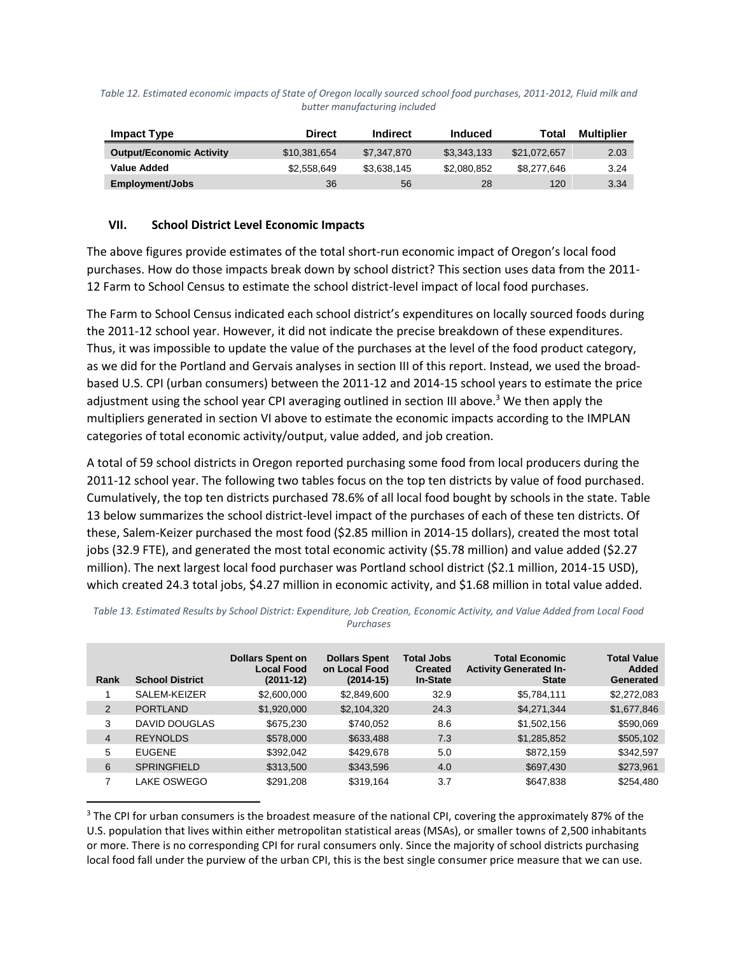<span id="page-9-0"></span>

| Table 12. Estimated economic impacts of State of Oregon locally sourced school food purchases, 2011-2012, Fluid milk and |
|--------------------------------------------------------------------------------------------------------------------------|
| butter manufacturing included                                                                                            |

| Impact Type                     | <b>Direct</b> | <b>Indirect</b> | <b>Induced</b> | Total        | <b>Multiplier</b> |
|---------------------------------|---------------|-----------------|----------------|--------------|-------------------|
| <b>Output/Economic Activity</b> | \$10,381,654  | \$7,347,870     | \$3.343.133    | \$21.072.657 | 2.03              |
| <b>Value Added</b>              | \$2,558,649   | \$3.638.145     | \$2,080.852    | \$8,277,646  | 3.24              |
| Employment/Jobs                 | 36            | 56              | 28             | 120          | 3.34              |

#### <span id="page-9-2"></span>**VII. School District Level Economic Impacts**

 $\overline{a}$ 

The above figures provide estimates of the total short-run economic impact of Oregon's local food purchases. How do those impacts break down by school district? This section uses data from the 2011- 12 Farm to School Census to estimate the school district-level impact of local food purchases.

The Farm to School Census indicated each school district's expenditures on locally sourced foods during the 2011-12 school year. However, it did not indicate the precise breakdown of these expenditures. Thus, it was impossible to update the value of the purchases at the level of the food product category, as we did for the Portland and Gervais analyses in section [III](#page-1-1) of this report. Instead, we used the broadbased U.S. CPI (urban consumers) between the 2011-12 and 2014-15 school years to estimate the price adjustment using the school year CPI averaging outlined in sectio[n III](#page-1-1) above.<sup>3</sup> We then apply the multipliers generated in section [VI](#page-6-1) above to estimate the economic impacts according to the IMPLAN categories of total economic activity/output, value added, and job creation.

A total of 59 school districts in Oregon reported purchasing some food from local producers during the 2011-12 school year. The following two tables focus on the top ten districts by value of food purchased. Cumulatively, the top ten districts purchased 78.6% of all local food bought by schools in the state. [Table](#page-9-1)  [13](#page-9-1) below summarizes the school district-level impact of the purchases of each of these ten districts. Of these, Salem-Keizer purchased the most food (\$2.85 million in 2014-15 dollars), created the most total jobs (32.9 FTE), and generated the most total economic activity (\$5.78 million) and value added (\$2.27 million). The next largest local food purchaser was Portland school district (\$2.1 million, 2014-15 USD), which created 24.3 total jobs, \$4.27 million in economic activity, and \$1.68 million in total value added.

| Rank | <b>School District</b> | <b>Dollars Spent on</b><br><b>Local Food</b><br>$(2011-12)$ | <b>Dollars Spent</b><br>on Local Food<br>$(2014-15)$ | <b>Total Jobs</b><br><b>Created</b><br><b>In-State</b> | <b>Total Economic</b><br><b>Activity Generated In-</b><br><b>State</b> | <b>Total Value</b><br><b>Added</b><br>Generated |
|------|------------------------|-------------------------------------------------------------|------------------------------------------------------|--------------------------------------------------------|------------------------------------------------------------------------|-------------------------------------------------|
|      | SALEM-KEIZER           | \$2,600,000                                                 | \$2,849,600                                          | 32.9                                                   | \$5,784,111                                                            | \$2,272,083                                     |
| 2    | <b>PORTLAND</b>        | \$1,920,000                                                 | \$2,104,320                                          | 24.3                                                   | \$4,271,344                                                            | \$1,677,846                                     |
| 3    | <b>DAVID DOUGLAS</b>   | \$675,230                                                   | \$740,052                                            | 8.6                                                    | \$1,502,156                                                            | \$590,069                                       |
| 4    | <b>REYNOLDS</b>        | \$578,000                                                   | \$633,488                                            | 7.3                                                    | \$1,285,852                                                            | \$505,102                                       |
| 5    | <b>EUGENE</b>          | \$392,042                                                   | \$429,678                                            | 5.0                                                    | \$872,159                                                              | \$342,597                                       |
| 6    | <b>SPRINGFIELD</b>     | \$313,500                                                   | \$343,596                                            | 4.0                                                    | \$697,430                                                              | \$273,961                                       |
| 7    | LAKE OSWEGO            | \$291,208                                                   | \$319,164                                            | 3.7                                                    | \$647,838                                                              | \$254,480                                       |

<span id="page-9-1"></span>*Table 13. Estimated Results by School District: Expenditure, Job Creation, Economic Activity, and Value Added from Local Food Purchases*

<sup>&</sup>lt;sup>3</sup> The CPI for urban consumers is the broadest measure of the national CPI, covering the approximately 87% of the U.S. population that lives within either metropolitan statistical areas (MSAs), or smaller towns of 2,500 inhabitants or more. There is no corresponding CPI for rural consumers only. Since the majority of school districts purchasing local food fall under the purview of the urban CPI, this is the best single consumer price measure that we can use.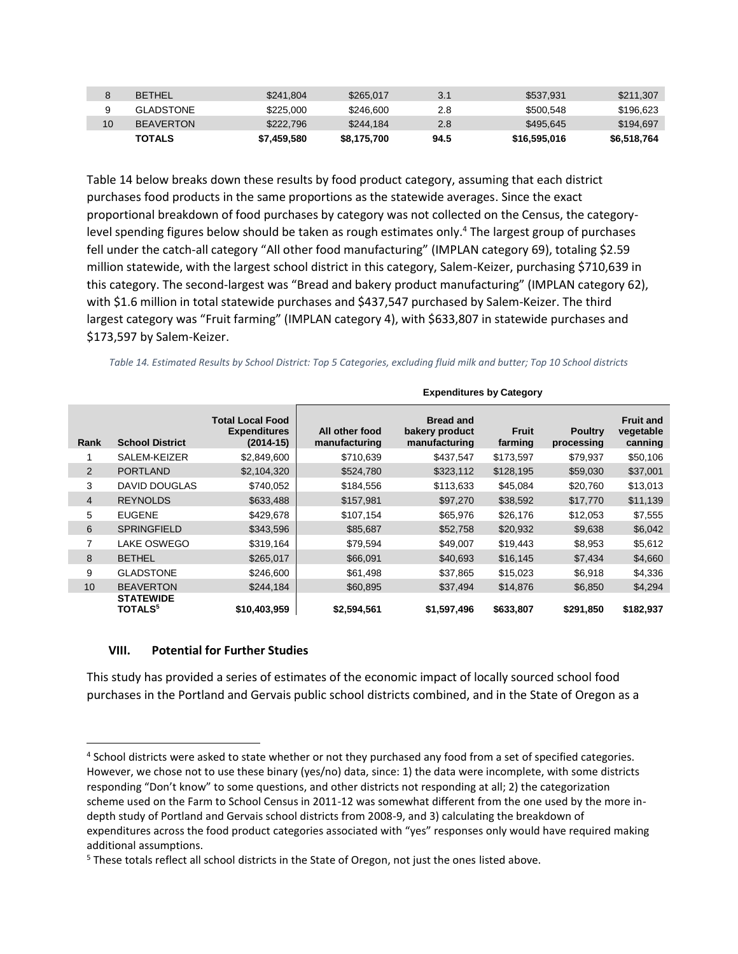|    | <b>BETHEL</b>    | \$241.804   | \$265,017   | 3.1  | \$537.931    | \$211.307   |
|----|------------------|-------------|-------------|------|--------------|-------------|
|    | <b>GLADSTONE</b> | \$225,000   | \$246,600   | 2.8  | \$500.548    | \$196.623   |
| 10 | <b>BEAVERTON</b> | \$222,796   | \$244.184   | 2.8  | \$495.645    | \$194.697   |
|    | <b>TOTALS</b>    | \$7,459,580 | \$8,175,700 | 94.5 | \$16,595,016 | \$6,518,764 |

[Table 14](#page-10-0) below breaks down these results by food product category, assuming that each district purchases food products in the same proportions as the statewide averages. Since the exact proportional breakdown of food purchases by category was not collected on the Census, the categorylevel spending figures below should be taken as rough estimates only.<sup>4</sup> The largest group of purchases fell under the catch-all category "All other food manufacturing" (IMPLAN category 69), totaling \$2.59 million statewide, with the largest school district in this category, Salem-Keizer, purchasing \$710,639 in this category. The second-largest was "Bread and bakery product manufacturing" (IMPLAN category 62), with \$1.6 million in total statewide purchases and \$437,547 purchased by Salem-Keizer. The third largest category was "Fruit farming" (IMPLAN category 4), with \$633,807 in statewide purchases and \$173,597 by Salem-Keizer.

<span id="page-10-0"></span>*Table 14. Estimated Results by School District: Top 5 Categories, excluding fluid milk and butter; Top 10 School districts*

|                |                                                |                                                               | <b>Expenditures by Category</b> |                                                     |                  |                              |                                          |  |
|----------------|------------------------------------------------|---------------------------------------------------------------|---------------------------------|-----------------------------------------------------|------------------|------------------------------|------------------------------------------|--|
| Rank           | <b>School District</b>                         | <b>Total Local Food</b><br><b>Expenditures</b><br>$(2014-15)$ | All other food<br>manufacturing | <b>Bread and</b><br>bakery product<br>manufacturing | Fruit<br>farming | <b>Poultry</b><br>processing | <b>Fruit and</b><br>vegetable<br>canning |  |
| 1              | SALEM-KEIZER                                   | \$2,849,600                                                   | \$710,639                       | \$437,547                                           | \$173,597        | \$79,937                     | \$50,106                                 |  |
| 2              | <b>PORTLAND</b>                                | \$2,104,320                                                   | \$524,780                       | \$323,112                                           | \$128,195        | \$59,030                     | \$37,001                                 |  |
| 3              | <b>DAVID DOUGLAS</b>                           | \$740,052                                                     | \$184,556                       | \$113,633                                           | \$45,084         | \$20,760                     | \$13,013                                 |  |
| $\overline{4}$ | <b>REYNOLDS</b>                                | \$633,488                                                     | \$157,981                       | \$97,270                                            | \$38,592         | \$17,770                     | \$11,139                                 |  |
| 5              | <b>EUGENE</b>                                  | \$429,678                                                     | \$107,154                       | \$65,976                                            | \$26,176         | \$12,053                     | \$7,555                                  |  |
| 6              | <b>SPRINGFIELD</b>                             | \$343,596                                                     | \$85,687                        | \$52,758                                            | \$20,932         | \$9,638                      | \$6,042                                  |  |
| 7              | <b>LAKE OSWEGO</b>                             | \$319,164                                                     | \$79,594                        | \$49,007                                            | \$19,443         | \$8,953                      | \$5,612                                  |  |
| 8              | <b>BETHEL</b>                                  | \$265,017                                                     | \$66,091                        | \$40,693                                            | \$16,145         | \$7,434                      | \$4,660                                  |  |
| 9              | <b>GLADSTONE</b>                               | \$246,600                                                     | \$61,498                        | \$37,865                                            | \$15,023         | \$6,918                      | \$4,336                                  |  |
| 10             | <b>BEAVERTON</b>                               | \$244,184                                                     | \$60,895                        | \$37,494                                            | \$14,876         | \$6,850                      | \$4,294                                  |  |
|                | <b>STATEWIDE</b><br><b>TOTALS</b> <sup>5</sup> | \$10,403,959                                                  | \$2,594,561                     | \$1,597,496                                         | \$633,807        | \$291,850                    | \$182,937                                |  |

#### **VIII. Potential for Further Studies**

 $\overline{\phantom{a}}$ 

This study has provided a series of estimates of the economic impact of locally sourced school food purchases in the Portland and Gervais public school districts combined, and in the State of Oregon as a

<sup>&</sup>lt;sup>4</sup> School districts were asked to state whether or not they purchased any food from a set of specified categories. However, we chose not to use these binary (yes/no) data, since: 1) the data were incomplete, with some districts responding "Don't know" to some questions, and other districts not responding at all; 2) the categorization scheme used on the Farm to School Census in 2011-12 was somewhat different from the one used by the more indepth study of Portland and Gervais school districts from 2008-9, and 3) calculating the breakdown of expenditures across the food product categories associated with "yes" responses only would have required making additional assumptions.

<sup>&</sup>lt;sup>5</sup> These totals reflect all school districts in the State of Oregon, not just the ones listed above.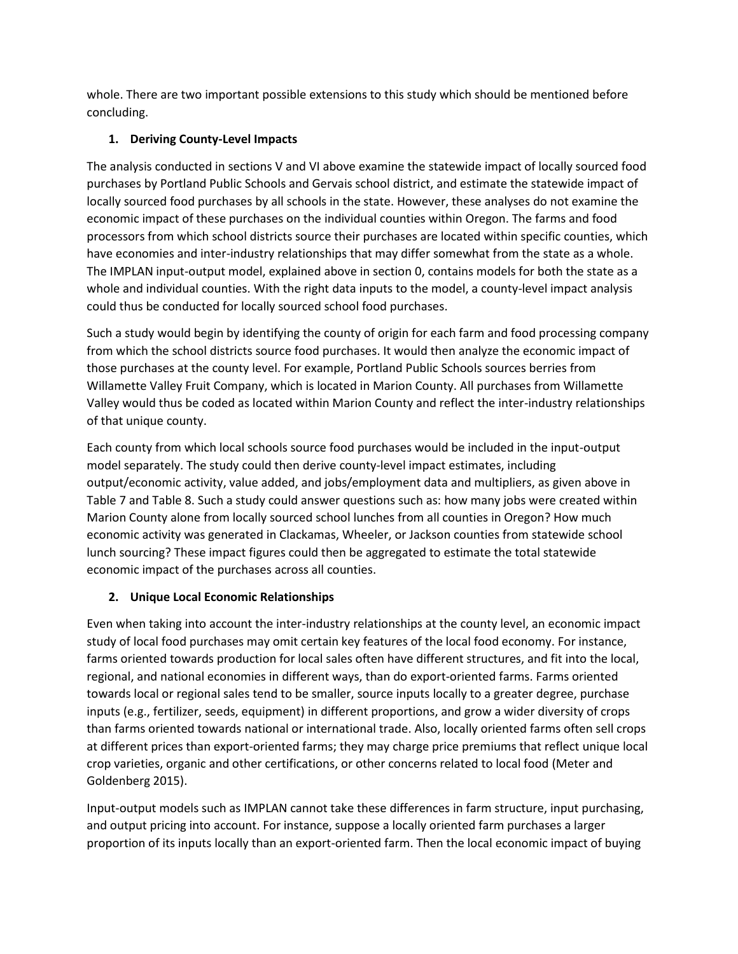whole. There are two important possible extensions to this study which should be mentioned before concluding.

## **1. Deriving County-Level Impacts**

The analysis conducted in sections [V](#page-5-1) an[d VI](#page-6-1) above examine the statewide impact of locally sourced food purchases by Portland Public Schools and Gervais school district, and estimate the statewide impact of locally sourced food purchases by all schools in the state. However, these analyses do not examine the economic impact of these purchases on the individual counties within Oregon. The farms and food processors from which school districts source their purchases are located within specific counties, which have economies and inter-industry relationships that may differ somewhat from the state as a whole. The IMPLAN input-output model, explained above in section [0,](#page-4-0) contains models for both the state as a whole and individual counties. With the right data inputs to the model, a county-level impact analysis could thus be conducted for locally sourced school food purchases.

Such a study would begin by identifying the county of origin for each farm and food processing company from which the school districts source food purchases. It would then analyze the economic impact of those purchases at the county level. For example, Portland Public Schools sources berries from Willamette Valley Fruit Company, which is located in Marion County. All purchases from Willamette Valley would thus be coded as located within Marion County and reflect the inter-industry relationships of that unique county.

Each county from which local schools source food purchases would be included in the input-output model separately. The study could then derive county-level impact estimates, including output/economic activity, value added, and jobs/employment data and multipliers, as given above in [Table 7](#page-5-0) and [Table 8.](#page-6-0) Such a study could answer questions such as: how many jobs were created within Marion County alone from locally sourced school lunches from all counties in Oregon? How much economic activity was generated in Clackamas, Wheeler, or Jackson counties from statewide school lunch sourcing? These impact figures could then be aggregated to estimate the total statewide economic impact of the purchases across all counties.

## **2. Unique Local Economic Relationships**

Even when taking into account the inter-industry relationships at the county level, an economic impact study of local food purchases may omit certain key features of the local food economy. For instance, farms oriented towards production for local sales often have different structures, and fit into the local, regional, and national economies in different ways, than do export-oriented farms. Farms oriented towards local or regional sales tend to be smaller, source inputs locally to a greater degree, purchase inputs (e.g., fertilizer, seeds, equipment) in different proportions, and grow a wider diversity of crops than farms oriented towards national or international trade. Also, locally oriented farms often sell crops at different prices than export-oriented farms; they may charge price premiums that reflect unique local crop varieties, organic and other certifications, or other concerns related to local food (Meter and Goldenberg 2015).

Input-output models such as IMPLAN cannot take these differences in farm structure, input purchasing, and output pricing into account. For instance, suppose a locally oriented farm purchases a larger proportion of its inputs locally than an export-oriented farm. Then the local economic impact of buying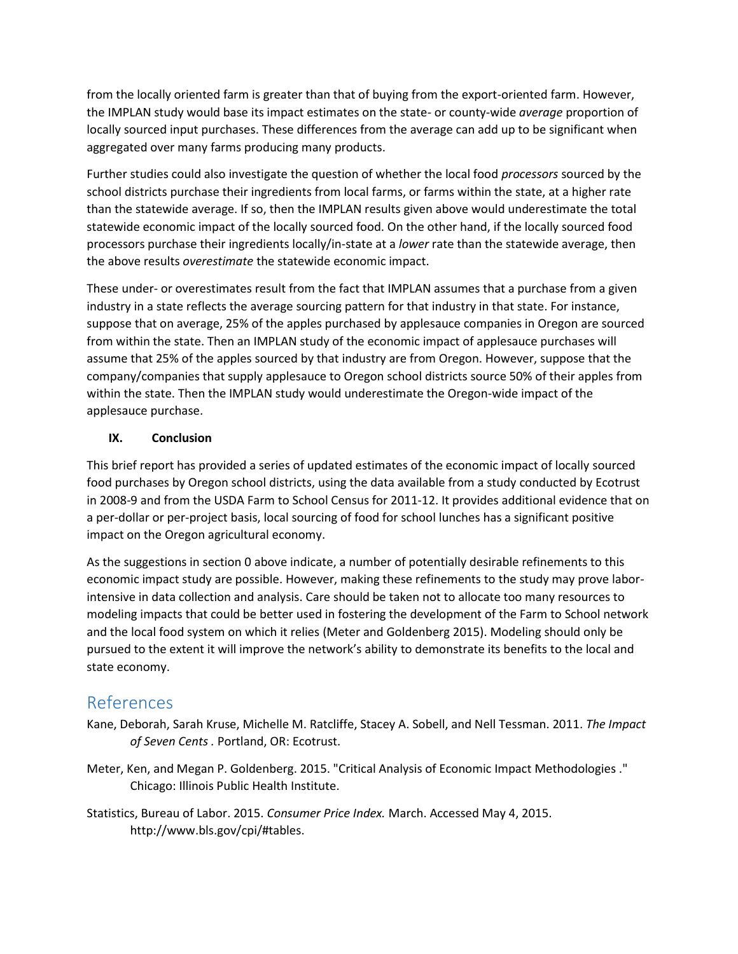from the locally oriented farm is greater than that of buying from the export-oriented farm. However, the IMPLAN study would base its impact estimates on the state- or county-wide *average* proportion of locally sourced input purchases. These differences from the average can add up to be significant when aggregated over many farms producing many products.

Further studies could also investigate the question of whether the local food *processors* sourced by the school districts purchase their ingredients from local farms, or farms within the state, at a higher rate than the statewide average. If so, then the IMPLAN results given above would underestimate the total statewide economic impact of the locally sourced food. On the other hand, if the locally sourced food processors purchase their ingredients locally/in-state at a *lower* rate than the statewide average, then the above results *overestimate* the statewide economic impact.

These under- or overestimates result from the fact that IMPLAN assumes that a purchase from a given industry in a state reflects the average sourcing pattern for that industry in that state. For instance, suppose that on average, 25% of the apples purchased by applesauce companies in Oregon are sourced from within the state. Then an IMPLAN study of the economic impact of applesauce purchases will assume that 25% of the apples sourced by that industry are from Oregon. However, suppose that the company/companies that supply applesauce to Oregon school districts source 50% of their apples from within the state. Then the IMPLAN study would underestimate the Oregon-wide impact of the applesauce purchase.

## **IX. Conclusion**

This brief report has provided a series of updated estimates of the economic impact of locally sourced food purchases by Oregon school districts, using the data available from a study conducted by Ecotrust in 2008-9 and from the USDA Farm to School Census for 2011-12. It provides additional evidence that on a per-dollar or per-project basis, local sourcing of food for school lunches has a significant positive impact on the Oregon agricultural economy.

As the suggestions in section [0](#page-9-2) above indicate, a number of potentially desirable refinements to this economic impact study are possible. However, making these refinements to the study may prove laborintensive in data collection and analysis. Care should be taken not to allocate too many resources to modeling impacts that could be better used in fostering the development of the Farm to School network and the local food system on which it relies (Meter and Goldenberg 2015). Modeling should only be pursued to the extent it will improve the network's ability to demonstrate its benefits to the local and state economy.

# References

- Kane, Deborah, Sarah Kruse, Michelle M. Ratcliffe, Stacey A. Sobell, and Nell Tessman. 2011. *The Impact of Seven Cents .* Portland, OR: Ecotrust.
- Meter, Ken, and Megan P. Goldenberg. 2015. "Critical Analysis of Economic Impact Methodologies ." Chicago: Illinois Public Health Institute.
- Statistics, Bureau of Labor. 2015. *Consumer Price Index.* March. Accessed May 4, 2015. http://www.bls.gov/cpi/#tables.